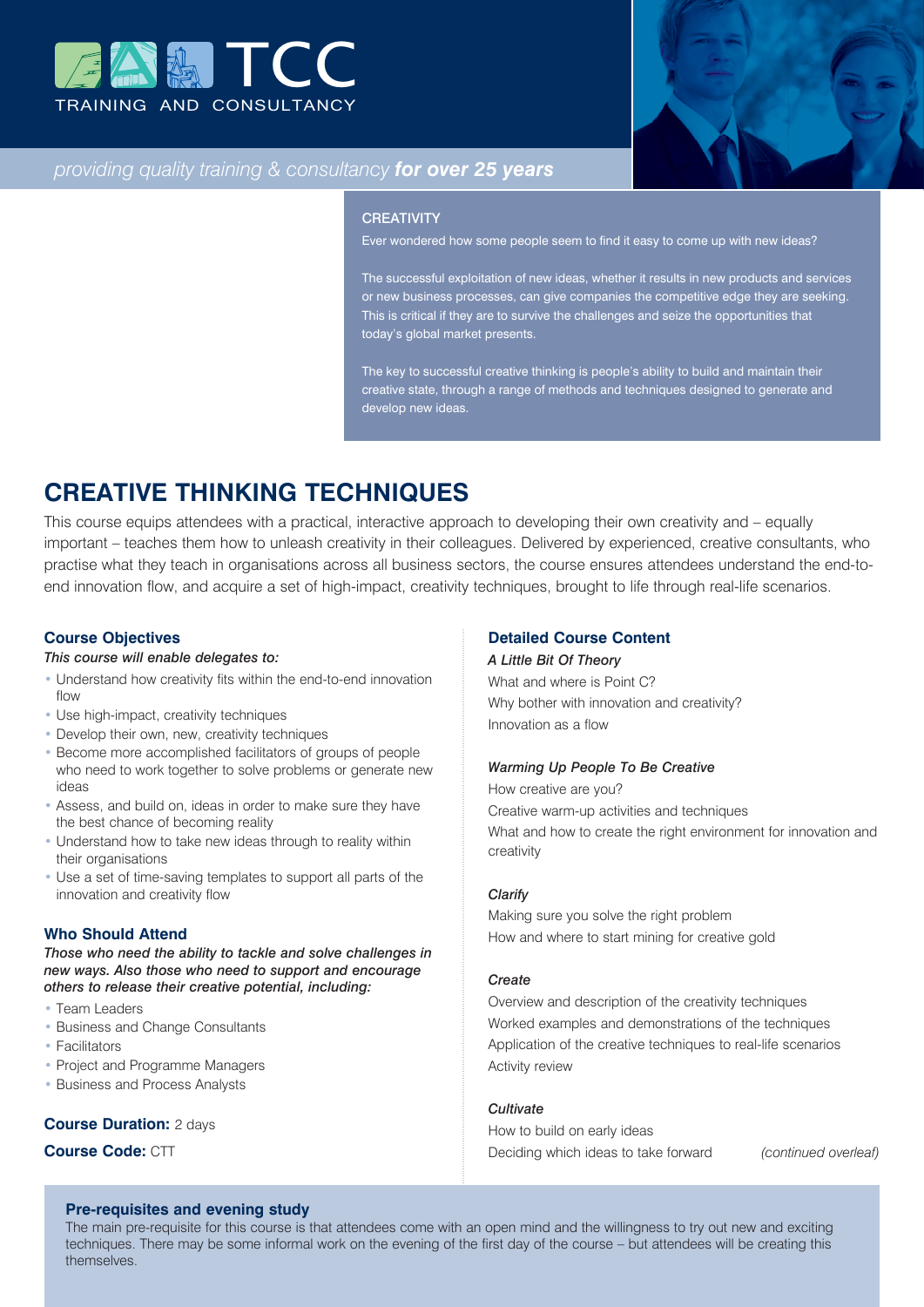



# *providing quality training & consultancy for over 25 years*

#### **CREATIVITY**

Ever wondered how some people seem to find it easy to come up with new ideas?

The successful exploitation of new ideas, whether it results in new products and services or new business processes, can give companies the competitive edge they are seeking. This is critical if they are to survive the challenges and seize the opportunities that today's global market presents.

The key to successful creative thinking is people's ability to build and maintain their creative state, through a range of methods and techniques designed to generate and develop new ideas.

# **CREATIVE THINKING TECHNIQUES**

This course equips attendees with a practical, interactive approach to developing their own creativity and – equally important – teaches them how to unleash creativity in their colleagues. Delivered by experienced, creative consultants, who practise what they teach in organisations across all business sectors, the course ensures attendees understand the end-toend innovation flow, and acquire a set of high-impact, creativity techniques, brought to life through real-life scenarios.

#### **Course Objectives**

#### *This course will enable delegates to:*

- Understand how creativity fits within the end-to-end innovation flow
- Use high-impact, creativity techniques
- Develop their own, new, creativity techniques
- Become more accomplished facilitators of groups of people who need to work together to solve problems or generate new ideas
- Assess, and build on, ideas in order to make sure they have the best chance of becoming reality
- Understand how to take new ideas through to reality within their organisations
- Use a set of time-saving templates to support all parts of the innovation and creativity flow

#### **Who Should Attend**

*Those who need the ability to tackle and solve challenges in new ways. Also those who need to support and encourage others to release their creative potential, including:*

- Team Leaders
- Business and Change Consultants
- Facilitators
- Project and Programme Managers
- Business and Process Analysts

## **Course Duration:** 2 days

# **Course Code:** CTT

#### **Pre-requisites and evening study**

The main pre-requisite for this course is that attendees come with an open mind and the willingness to try out new and exciting techniques. There may be some informal work on the evening of the first day of the course – but attendees will be creating this themselves.

#### **Detailed Course Content**

#### *A Little Bit Of Theory*

What and where is Point C? Why bother with innovation and creativity? Innovation as a flow

## *Warming Up People To Be Creative*

How creative are you? Creative warm-up activities and techniques What and how to create the right environment for innovation and creativity

#### *Clarify*

Making sure you solve the right problem How and where to start mining for creative gold

#### *Create*

Overview and description of the creativity techniques Worked examples and demonstrations of the techniques Application of the creative techniques to real-life scenarios Activity review

#### *Cultivate*

How to build on early ideas Deciding which ideas to take forward *(continued overleaf)*